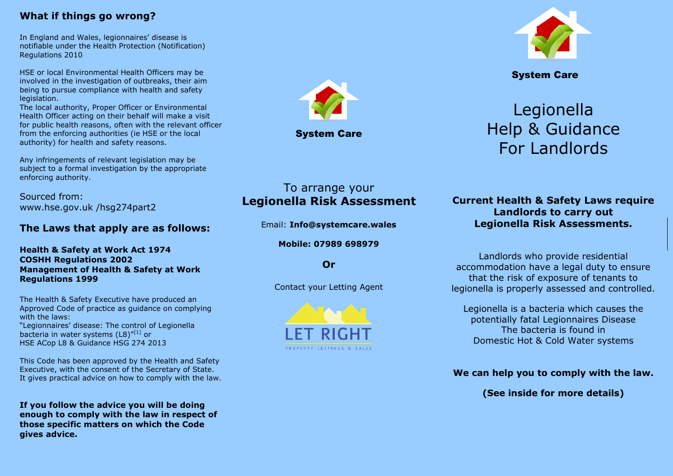#### **What if things go wrong?**

In England and Wales, legionnaires' disease is notifiable under the Health Protection (Notification) Regulations 2010

HSE or local Environmental Health Officers may be involved in the investigation of outbreaks, their aim being to pursue compliance with health and safety legislation.

The local authority, Proper Officer or Environmental Health Officer acting on their behalf will make a visit for public health reasons, often with the relevant officer from the enforcing authorities (ie HSE or the local authority) for health and safety reasons.

Any infringements of relevant legislation may be subject to a formal investigation by the appropriate enforcing authority.

Sourced from: www.hse.gov.uk /hsg274part2

#### **The Laws that apply are as follows:**

**Health & Safety at Work Act 1974 COSHH Regulations 2002 Management of Health & Safety at Work Regulations 1999**

The Health & Safety Executive have produced an Approved Code of practice as guidance on complying with the laws: "Legionnaires' disease: The control of Legionella bacteria in water systems  $(L8)^{r[1]}$  or HSE ACop L8 & Guidance HSG 274 2013

This Code has been approved by the Health and Safety Executive, with the consent of the Secretary of State. It gives practical advice on how to comply with the law.

**If you follow the advice you will be doing enough to comply with the law in respect of those specific matters on which the Code gives advice.**



System Care

# Legionella Help & Guidance For Landlords

# To arrange your **Legionella Risk Assessment**

Email: **Info@systemcare.wales**

**Mobile: 07989 698979**

**Or**

Contact your Letting Agent



**Current Health & Safety Laws require Landlords to carry out Legionella Risk Assessments.**

Landlords who provide residential accommodation have a legal duty to ensure that the risk of exposure of tenants to legionella is properly assessed and controlled.

Legionella is a bacteria which causes the potentially fatal Legionnaires Disease The bacteria is found in Domestic Hot & Cold Water systems

**We can help you to comply with the law.**

**(See inside for more details)**